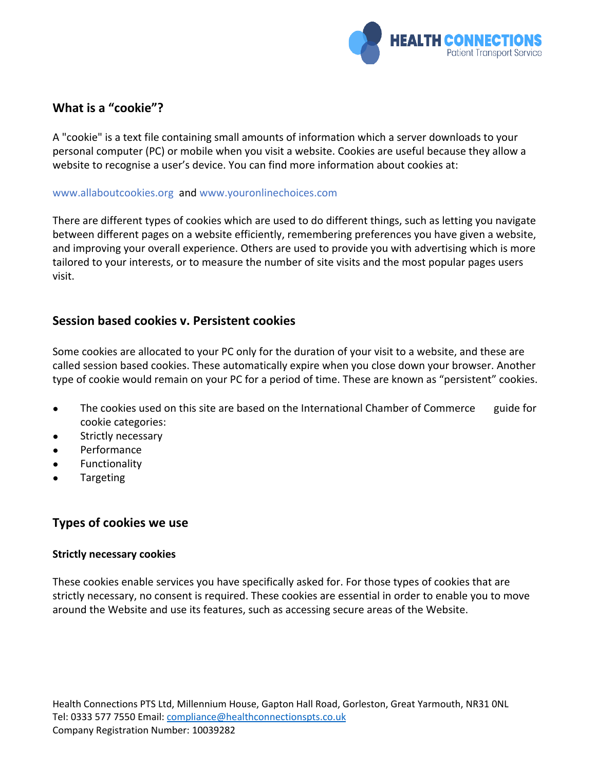

# **What is a "cookie"?**

A "cookie" is a text file containing small amounts of information which a server downloads to your personal computer (PC) or mobile when you visit a website. Cookies are useful because they allow a website to recognise a user's device. You can find more information about cookies at:

### [www.allaboutcookies.org](http://www.allaboutcookies.org/) and [www.youronlinechoices.com](http://http/youronlinechoices.com/)

There are different types of cookies which are used to do different things, such as letting you navigate between different pages on a website efficiently, remembering preferences you have given a website, and improving your overall experience. Others are used to provide you with advertising which is more tailored to your interests, or to measure the number of site visits and the most popular pages users visit.

# **Session based cookies v. Persistent cookies**

Some cookies are allocated to your PC only for the duration of your visit to a website, and these are called session based cookies. These automatically expire when you close down your browser. Another type of cookie would remain on your PC for a period of time. These are known as "persistent" cookies.

- The cookies used on this site are based on the International Chamber of Commerce guide for cookie categories:
- Strictly necessary
- Performance
- **Functionality**
- **Targeting**

# **Types of cookies we use**

## **Strictly necessary cookies**

These cookies enable services you have specifically asked for. For those types of cookies that are strictly necessary, no consent is required. These cookies are essential in order to enable you to move around the Website and use its features, such as accessing secure areas of the Website.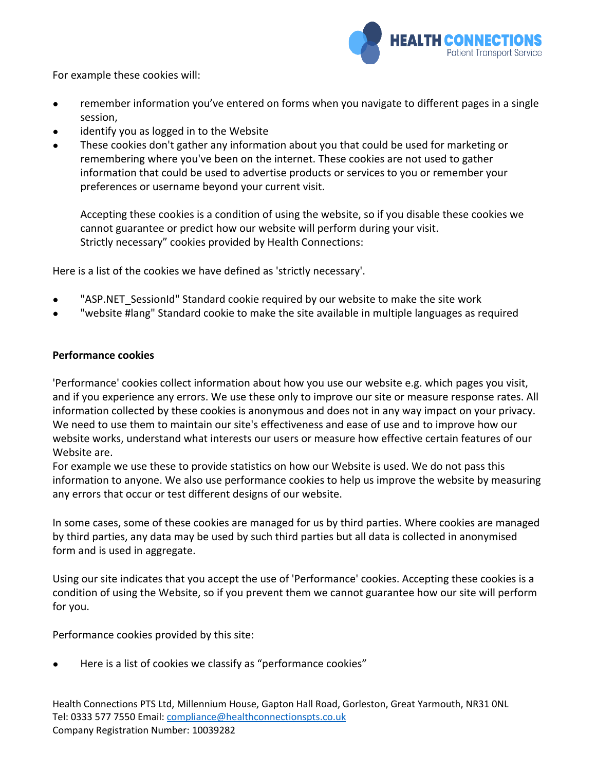

For example these cookies will:

- remember information you've entered on forms when you navigate to different pages in a single session,
- identify you as logged in to the Website
- These cookies don't gather any information about you that could be used for marketing or remembering where you've been on the internet. These cookies are not used to gather information that could be used to advertise products or services to you or remember your preferences or username beyond your current visit.

Accepting these cookies is a condition of using the website, so if you disable these cookies we cannot guarantee or predict how our website will perform during your visit. Strictly necessary" cookies provided by Health Connections:

Here is a list of the cookies we have defined as 'strictly necessary'.

- "ASP.NET SessionId" Standard cookie required by our website to make the site work
- "website #lang" Standard cookie to make the site available in multiple languages as required

### **Performance cookies**

'Performance' cookies collect information about how you use our website e.g. which pages you visit, and if you experience any errors. We use these only to improve our site or measure response rates. All information collected by these cookies is anonymous and does not in any way impact on your privacy. We need to use them to maintain our site's effectiveness and ease of use and to improve how our website works, understand what interests our users or measure how effective certain features of our Website are.

For example we use these to provide statistics on how our Website is used. We do not pass this information to anyone. We also use performance cookies to help us improve the website by measuring any errors that occur or test different designs of our website.

In some cases, some of these cookies are managed for us by third parties. Where cookies are managed by third parties, any data may be used by such third parties but all data is collected in anonymised form and is used in aggregate.

Using our site indicates that you accept the use of 'Performance' cookies. Accepting these cookies is a condition of using the Website, so if you prevent them we cannot guarantee how our site will perform for you.

Performance cookies provided by this site:

Here is a list of cookies we classify as "performance cookies"

Health Connections PTS Ltd, Millennium House, Gapton Hall Road, Gorleston, Great Yarmouth, NR31 0NL Tel: 0333 577 7550 Email: [compliance@healthconnectionspts.co.uk](mailto:compliance@healthconnectionspts.co.uk) Company Registration Number: 10039282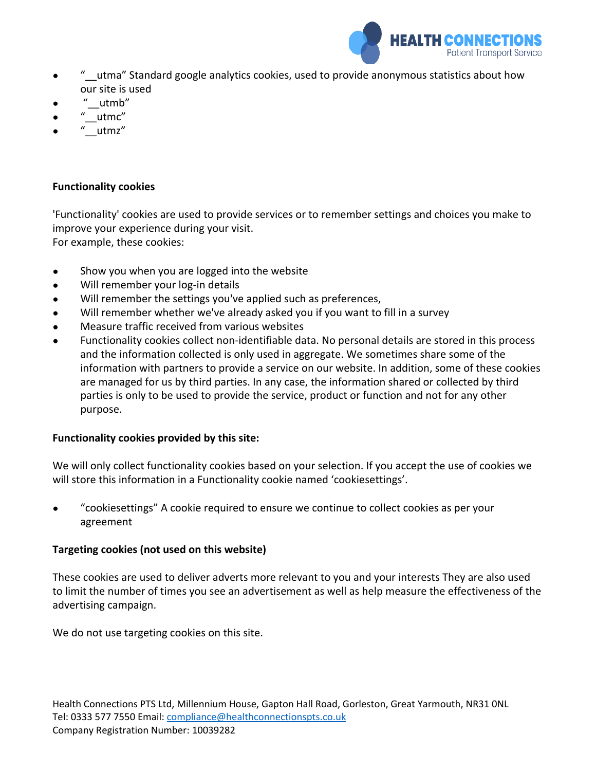

- " utma" Standard google analytics cookies, used to provide anonymous statistics about how our site is used
- $"$  utmb"
- $"$  utmc"
- $"$  utmz"

## **Functionality cookies**

'Functionality' cookies are used to provide services or to remember settings and choices you make to improve your experience during your visit. For example, these cookies:

- Show you when you are logged into the website
- Will remember your log-in details
- Will remember the settings you've applied such as preferences,
- Will remember whether we've already asked you if you want to fill in a survey
- Measure traffic received from various websites
- Functionality cookies collect non-identifiable data. No personal details are stored in this process and the information collected is only used in aggregate. We sometimes share some of the information with partners to provide a service on our website. In addition, some of these cookies are managed for us by third parties. In any case, the information shared or collected by third parties is only to be used to provide the service, product or function and not for any other purpose.

## **Functionality cookies provided by this site:**

We will only collect functionality cookies based on your selection. If you accept the use of cookies we will store this information in a Functionality cookie named 'cookiesettings'.

"cookiesettings" A cookie required to ensure we continue to collect cookies as per your agreement

## **Targeting cookies (not used on this website)**

These cookies are used to deliver adverts more relevant to you and your interests They are also used to limit the number of times you see an advertisement as well as help measure the effectiveness of the advertising campaign.

We do not use targeting cookies on this site.